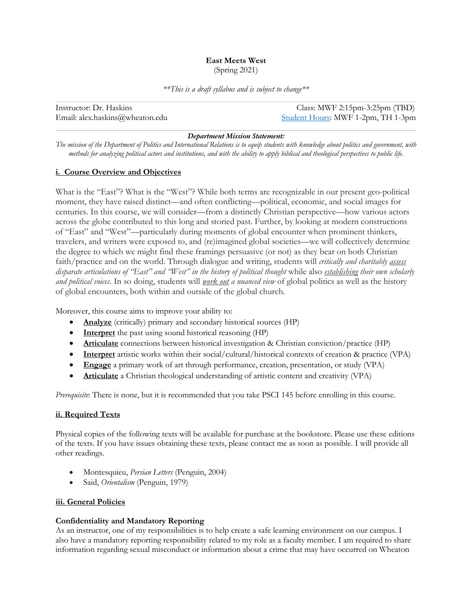## **East Meets West**

(Spring 2021)

*\*\*This is a draft syllabus and is subject to change\*\**

| Instructor: Dr. Haskins         | Class: MWF 2:15pm-3:25pm $(TBD)$   |
|---------------------------------|------------------------------------|
| Email: alex.haskins@wheaton.edu | Student Hours: MWF 1-2pm, TH 1-3pm |

### *Department Mission Statement:*

*The mission of the Department of Politics and International Relations is to equip students with knowledge about politics and government, with methods for analyzing political actors and institutions, and with the ability to apply biblical and theological perspectives to public life.*

### **i. Course Overview and Objectives**

What is the "East"? What is the "West"? While both terms are recognizable in our present geo-political moment, they have raised distinct—and often conflicting—political, economic, and social images for centuries. In this course, we will consider—from a distinctly Christian perspective—how various actors across the globe contributed to this long and storied past. Further, by looking at modern constructions of "East" and "West"—particularly during moments of global encounter when prominent thinkers, travelers, and writers were exposed to, and (re)imagined global societies—we will collectively determine the degree to which we might find these framings persuasive (or not) as they bear on both Christian faith/practice and on the world. Through dialogue and writing, students will *critically and charitably assess* disparate articulations of "East" and "West" in the history of political thought while also establishing their own scholarly *and political voices*. In so doing, students will *work out a nuanced view* of global politics as well as the history of global encounters, both within and outside of the global church.

Moreover, this course aims to improve your ability to:

- **Analyze** (critically) primary and secondary historical sources (HP)
- **Interpret** the past using sound historical reasoning (HP)
- **Articulate** connections between historical investigation & Christian conviction/practice (HP)
- **Interpret** artistic works within their social/cultural/historical contexts of creation & practice (VPA)
- **Engage** a primary work of art through performance, creation, presentation, or study (VPA)
- **Articulate** a Christian theological understanding of artistic content and creativity (VPA)

*Prerequisite*: There is none, but it is recommended that you take PSCI 145 before enrolling in this course.

### **ii. Required Texts**

Physical copies of the following texts will be available for purchase at the bookstore. Please use these editions of the texts. If you have issues obtaining these texts, please contact me as soon as possible. I will provide all other readings.

- Montesquieu, *Persian Letters* (Penguin, 2004)
- Said, *Orientalism* (Penguin, 1979)

### **iii. General Policies**

### **Confidentiality and Mandatory Reporting**

As an instructor, one of my responsibilities is to help create a safe learning environment on our campus. I also have a mandatory reporting responsibility related to my role as a faculty member. I am required to share information regarding sexual misconduct or information about a crime that may have occurred on Wheaton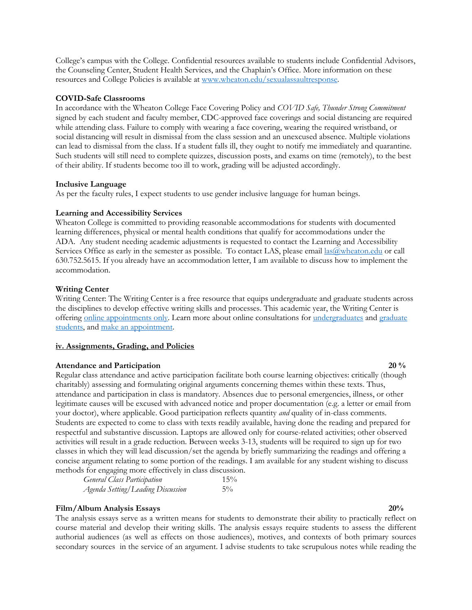College's campus with the College. Confidential resources available to students include Confidential Advisors, the Counseling Center, Student Health Services, and the Chaplain's Office. More information on these resources and College Policies is available at www.wheaton.edu/sexualassaultresponse.

### **COVID-Safe Classrooms**

In accordance with the Wheaton College Face Covering Policy and *COVID Safe, Thunder Strong Commitment* signed by each student and faculty member, CDC-approved face coverings and social distancing are required while attending class. Failure to comply with wearing a face covering, wearing the required wristband, or social distancing will result in dismissal from the class session and an unexcused absence. Multiple violations can lead to dismissal from the class. If a student falls ill, they ought to notify me immediately and quarantine. Such students will still need to complete quizzes, discussion posts, and exams on time (remotely), to the best of their ability. If students become too ill to work, grading will be adjusted accordingly.

### **Inclusive Language**

As per the faculty rules, I expect students to use gender inclusive language for human beings.

### **Learning and Accessibility Services**

Wheaton College is committed to providing reasonable accommodations for students with documented learning differences, physical or mental health conditions that qualify for accommodations under the ADA. Any student needing academic adjustments is requested to contact the Learning and Accessibility Services Office as early in the semester as possible. To contact LAS, please email las@wheaton.edu or call 630.752.5615. If you already have an accommodation letter, I am available to discuss how to implement the accommodation.

### **Writing Center**

Writing Center: The Writing Center is a free resource that equips undergraduate and graduate students across the disciplines to develop effective writing skills and processes. This academic year, the Writing Center is offering online appointments only. Learn more about online consultations for undergraduates and graduate students, and make an appointment.

### **iv. Assignments, Grading, and Policies**

### **Attendance and Participation** 20 % **20** %

Regular class attendance and active participation facilitate both course learning objectives: critically (though charitably) assessing and formulating original arguments concerning themes within these texts. Thus, attendance and participation in class is mandatory. Absences due to personal emergencies, illness, or other legitimate causes will be excused with advanced notice and proper documentation (e.g. a letter or email from your doctor), where applicable. Good participation reflects quantity *and* quality of in-class comments. Students are expected to come to class with texts readily available, having done the reading and prepared for respectful and substantive discussion. Laptops are allowed only for course-related activities; other observed activities will result in a grade reduction. Between weeks 3-13, students will be required to sign up for two classes in which they will lead discussion/set the agenda by briefly summarizing the readings and offering a concise argument relating to some portion of the readings. I am available for any student wishing to discuss methods for engaging more effectively in class discussion.

| <b>General Class Participation</b> | 15%   |
|------------------------------------|-------|
| Agenda Setting/Leading Discussion  | $5\%$ |

### **Film/Album Analysis Essays 20%**

The analysis essays serve as a written means for students to demonstrate their ability to practically reflect on course material and develop their writing skills. The analysis essays require students to assess the different authorial audiences (as well as effects on those audiences), motives, and contexts of both primary sources secondary sources in the service of an argument. I advise students to take scrupulous notes while reading the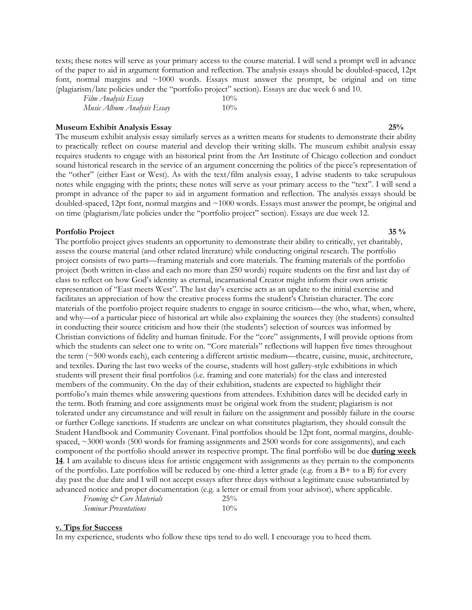texts; these notes will serve as your primary access to the course material. I will send a prompt well in advance of the paper to aid in argument formation and reflection. The analysis essays should be doubled-spaced, 12pt font, normal margins and  $\sim 1000$  words. Essays must answer the prompt, be original and on time (plagiarism/late policies under the "portfolio project" section). Essays are due week 6 and 10.

| Film Analysis Essay        | $10\%$ |
|----------------------------|--------|
| Music Album Analysis Essay | $10\%$ |

### **Museum Exhibit Analysis Essay 25%**

The museum exhibit analysis essay similarly serves as a written means for students to demonstrate their ability to practically reflect on course material and develop their writing skills. The museum exhibit analysis essay requires students to engage with an historical print from the Art Institute of Chicago collection and conduct sound historical research in the service of an argument concerning the politics of the piece's representation of the "other" (either East or West). As with the text/film analysis essay, I advise students to take scrupulous notes while engaging with the prints; these notes will serve as your primary access to the "text". I will send a prompt in advance of the paper to aid in argument formation and reflection. The analysis essays should be doubled-spaced, 12pt font, normal margins and ~1000 words. Essays must answer the prompt, be original and on time (plagiarism/late policies under the "portfolio project" section). Essays are due week 12.

### **Portfolio Project 35 %**

The portfolio project gives students an opportunity to demonstrate their ability to critically, yet charitably, assess the course material (and other related literature) while conducting original research. The portfolio project consists of two parts—framing materials and core materials. The framing materials of the portfolio project (both written in-class and each no more than 250 words) require students on the first and last day of class to reflect on how God's identity as eternal, incarnational Creator might inform their own artistic representation of "East meets West". The last day's exercise acts as an update to the initial exercise and facilitates an appreciation of how the creative process forms the student's Christian character. The core materials of the portfolio project require students to engage in source criticism—the who, what, when, where, and why—of a particular piece of historical art while also explaining the sources they (the students) consulted in conducting their source criticism and how their (the students') selection of sources was informed by Christian convictions of fidelity and human finitude. For the "core" assignments, I will provide options from which the students can select one to write on. "Core materials" reflections will happen five times throughout the term (~500 words each), each centering a different artistic medium—theatre, cuisine, music, architecture, and textiles. During the last two weeks of the course, students will host gallery-style exhibitions in which students will present their final portfolios (i.e. framing and core materials) for the class and interested members of the community. On the day of their exhibition, students are expected to highlight their portfolio's main themes while answering questions from attendees. Exhibition dates will be decided early in the term. Both framing and core assignments must be original work from the student; plagiarism is not tolerated under any circumstance and will result in failure on the assignment and possibly failure in the course or further College sanctions. If students are unclear on what constitutes plagiarism, they should consult the Student Handbook and Community Covenant. Final portfolios should be 12pt font, normal margins, doublespaced, ~3000 words (500 words for framing assignments and 2500 words for core assignments), and each component of the portfolio should answer its respective prompt. The final portfolio will be due **during week 14**. I am available to discuss ideas for artistic engagement with assignments as they pertain to the components of the portfolio. Late portfolios will be reduced by one-third a letter grade (e.g. from a B+ to a B) for every day past the due date and I will not accept essays after three days without a legitimate cause substantiated by advanced notice and proper documentation (e.g. a letter or email from your advisor), where applicable.

| Framing & Core Materials     | 25%    |
|------------------------------|--------|
| <b>Seminar Presentations</b> | $10\%$ |

### **v. Tips for Success**

In my experience, students who follow these tips tend to do well. I encourage you to heed them.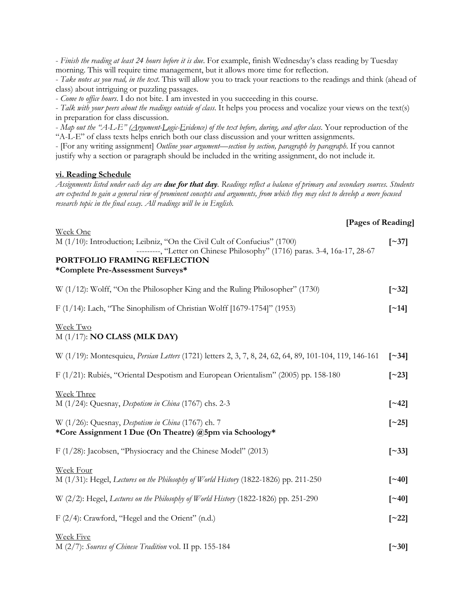- *Finish the reading at least 24 hours before it is due*. For example, finish Wednesday's class reading by Tuesday morning. This will require time management, but it allows more time for reflection.

- *Take notes as you read, in the text*. This will allow you to track your reactions to the readings and think (ahead of class) about intriguing or puzzling passages.

- *Come to office hours*. I do not bite. I am invested in you succeeding in this course.

- *Talk with your peers about the readings outside of class*. It helps you process and vocalize your views on the text(s) in preparation for class discussion.

- *Map out the "A-L-E" (Argument-Logic-Evidence) of the text before, during, and after class*. Your reproduction of the "A-L-E" of class texts helps enrich both our class discussion and your written assignments.

- [For any writing assignment] *Outline your argument—section by section, paragraph by paragraph*. If you cannot justify why a section or paragraph should be included in the writing assignment, do not include it.

### **vi. Reading Schedule**

*Assignments listed under each day are due for that day. Readings reflect a balance of primary and secondary sources. Students are expected to gain a general view of prominent concepts and arguments, from which they may elect to develop a more focused research topic in the final essay. All readings will be in English.*

### **[Pages of Reading]**

| Week One                                                                   |                          |
|----------------------------------------------------------------------------|--------------------------|
| M (1/10): Introduction; Leibniz, "On the Civil Cult of Confucius" (1700)   | $\left[ \sim 37 \right]$ |
| ---------, "Letter on Chinese Philosophy" (1716) paras. 3-4, 16a-17, 28-67 |                          |
| PORTFOLIO FRAMING REFLECTION                                               |                          |
| *Complete Pre-Assessment Surveys*                                          |                          |
|                                                                            |                          |

| W (1/12): Wolff, "On the Philosopher King and the Ruling Philosopher" (1730) | $\lceil 32 \rceil$  |
|------------------------------------------------------------------------------|---------------------|
| F (1/14): Lach, "The Sinophilism of Christian Wolff [1679-1754]" (1953)      | $\lceil -14 \rceil$ |

### Week Two M (1/17): **NO CLASS (MLK DAY)**

| W (1/19): Montesquieu, <i>Persian Letters</i> (1721) letters 2, 3, 7, 8, 24, 62, 64, 89, 101-104, 119, 146-161       | $\lceil -34 \rceil$ |
|----------------------------------------------------------------------------------------------------------------------|---------------------|
| F $(1/21)$ : Rubiés, "Oriental Despotism and European Orientalism" (2005) pp. 158-180                                | [ $\sim$ 23]        |
| Week Three<br>M $(1/24)$ : Quesnay, <i>Despotism in China</i> (1767) chs. 2-3                                        | $\lceil -42 \rceil$ |
| W (1/26): Quesnay, <i>Despotism in China</i> (1767) ch. 7<br>*Core Assignment 1 Due (On Theatre) @5pm via Schoology* | $\lceil 25 \rceil$  |
| $F(1/28)$ : Jacobsen, "Physiocracy and the Chinese Model" (2013)                                                     | $\lceil -33 \rceil$ |
| Week Four<br>$M(1/31)$ : Hegel, Lectures on the Philosophy of World History (1822-1826) pp. 211-250                  | [~40]               |

W (2/2): Hegel, *Lectures on the Philosophy of World History* (1822-1826) pp. 251-290 **[~40]**

F (2/4): Crawford, "Hegel and the Orient" (n.d.) **[~22]**

Week Five

M (2/7): *Sources of Chinese Tradition* vol. II pp. 155-184 **[~30]**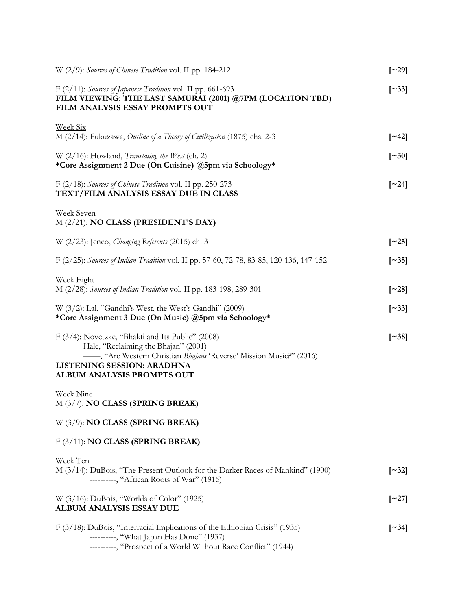| W (2/9): Sources of Chinese Tradition vol. II pp. 184-212                                                                                                                                                                   | $\left[\sim29\right]$    |
|-----------------------------------------------------------------------------------------------------------------------------------------------------------------------------------------------------------------------------|--------------------------|
| F (2/11): Sources of Japanese Tradition vol. II pp. 661-693<br>FILM VIEWING: THE LAST SAMURAI (2001) @7PM (LOCATION TBD)<br>FILM ANALYSIS ESSAY PROMPTS OUT                                                                 | $\left[\sim\right]$ 33]  |
| <b>Week Six</b><br>M (2/14): Fukuzawa, Outline of a Theory of Civilization (1875) chs. 2-3                                                                                                                                  | $\lceil 242 \rceil$      |
| W (2/16): Howland, Translating the West (ch. 2)<br>*Core Assignment 2 Due (On Cuisine) @5pm via Schoology*                                                                                                                  | $\lceil 30 \rceil$       |
| F (2/18): Sources of Chinese Tradition vol. II pp. 250-273<br>TEXT/FILM ANALYSIS ESSAY DUE IN CLASS                                                                                                                         | $\left[ \sim 24 \right]$ |
| <b>Week Seven</b><br>M (2/21): NO CLASS (PRESIDENT'S DAY)                                                                                                                                                                   |                          |
| W (2/23): Jenco, Changing Referents (2015) ch. 3                                                                                                                                                                            | $\left[ \sim 25 \right]$ |
| F (2/25): Sources of Indian Tradition vol. II pp. 57-60, 72-78, 83-85, 120-136, 147-152                                                                                                                                     | $\lceil 35 \rceil$       |
| <b>Week Eight</b><br>M (2/28): Sources of Indian Tradition vol. II pp. 183-198, 289-301                                                                                                                                     | $\left[ \sim 28 \right]$ |
| W (3/2): Lal, "Gandhi's West, the West's Gandhi" (2009)<br>*Core Assignment 3 Due (On Music) @5pm via Schoology*                                                                                                            | $\lceil 33 \rceil$       |
| F (3/4): Novetzke, "Bhakti and Its Public" (2008)<br>Hale, "Reclaiming the Bhajan" (2001)<br>-, "Are Western Christian Bhajans 'Reverse' Mission Music?" (2016)<br>LISTENING SESSION: ARADHNA<br>ALBUM ANALYSIS PROMPTS OUT | $\lceil 38 \rceil$       |
| <b>Week Nine</b><br>M (3/7): NO CLASS (SPRING BREAK)                                                                                                                                                                        |                          |
| W (3/9): NO CLASS (SPRING BREAK)                                                                                                                                                                                            |                          |
| $F(3/11)$ : NO CLASS (SPRING BREAK)                                                                                                                                                                                         |                          |
| Week Ten<br>M (3/14): DuBois, "The Present Outlook for the Darker Races of Mankind" (1900)<br>---------, "African Roots of War" (1915)                                                                                      | $\left[ \sim 32 \right]$ |
| W (3/16): DuBois, "Worlds of Color" (1925)<br>ALBUM ANALYSIS ESSAY DUE                                                                                                                                                      | $\left[\sim 27\right]$   |
| F (3/18): DuBois, "Interracial Implications of the Ethiopian Crisis" (1935)<br>---------, "What Japan Has Done" (1937)<br>----------, "Prospect of a World Without Race Conflict" (1944)                                    | $\left[ \sim 34 \right]$ |